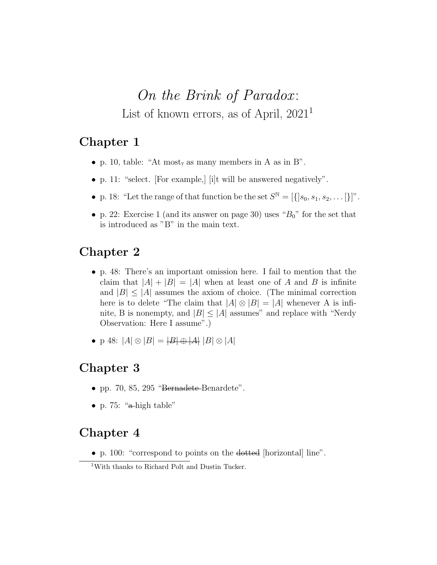# On the Brink of Paradox: List of known errors, as of April,  $2021<sup>1</sup>$

# Chapter 1

- p. 10, table: "At most, as many members in A as in B".
- p. 11: "select. [For example,] [i]t will be answered negatively".
- p. 18: "Let the range of that function be the set  $S^{\mathbb{N}} = [\{\,]s_0, s_1, s_2, \dots \}]\$ ".
- p. 22: Exercise 1 (and its answer on page 30) uses " $B_0$ " for the set that is introduced as "B" in the main text.

# Chapter 2

- p. 48: There's an important omission here. I fail to mention that the claim that  $|A| + |B| = |A|$  when at least one of A and B is infinite and  $|B| \leq |A|$  assumes the axiom of choice. (The minimal correction here is to delete "The claim that  $|A| \otimes |B| = |A|$  whenever A is infinite, B is nonempty, and  $|B| \leq |A|$  assumes" and replace with "Nerdy Observation: Here I assume".)
- p 48:  $|A| \otimes |B| = |B| \oplus |A| |B| \otimes |A|$

## Chapter 3

- pp. 70, 85, 295 "Bernadete-Benardete".
- p. 75: " $\alpha$ -high table"

#### Chapter 4

• p. 100: "correspond to points on the dotted [horizontal] line".

<sup>1</sup>With thanks to Richard Polt and Dustin Tucker.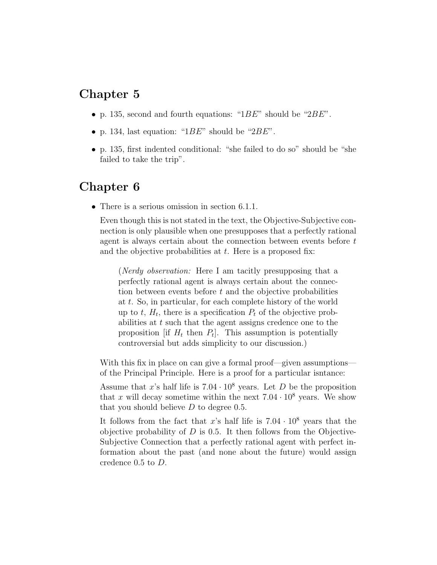#### Chapter 5

- p. 135, second and fourth equations: " $1BE$ " should be " $2BE$ ".
- p. 134, last equation: " $1BE$ " should be " $2BE$ ".
- p. 135, first indented conditional: "she failed to do so" should be "she failed to take the trip".

#### Chapter 6

• There is a serious omission in section 6.1.1.

Even though this is not stated in the text, the Objective-Subjective connection is only plausible when one presupposes that a perfectly rational agent is always certain about the connection between events before t and the objective probabilities at  $t$ . Here is a proposed fix:

(Nerdy observation: Here I am tacitly presupposing that a perfectly rational agent is always certain about the connection between events before t and the objective probabilities at t. So, in particular, for each complete history of the world up to  $t$ ,  $H_t$ , there is a specification  $P_t$  of the objective probabilities at t such that the agent assigns credence one to the proposition [if  $H_t$  then  $P_t$ ]. This assumption is potentially controversial but adds simplicity to our discussion.)

With this fix in place on can give a formal proof—given assumptions of the Principal Principle. Here is a proof for a particular isntance:

Assume that x's half life is  $7.04 \cdot 10^8$  years. Let D be the proposition that x will decay sometime within the next  $7.04 \cdot 10^8$  years. We show that you should believe  $D$  to degree 0.5.

It follows from the fact that x's half life is  $7.04 \cdot 10^8$  years that the objective probability of  $D$  is 0.5. It then follows from the Objective-Subjective Connection that a perfectly rational agent with perfect information about the past (and none about the future) would assign credence 0.5 to D.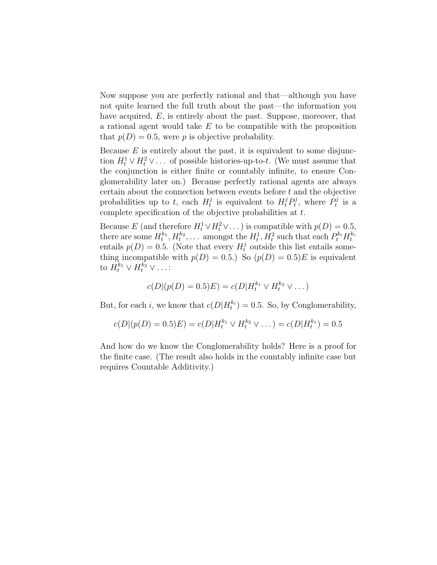Now suppose you are perfectly rational and that—although you have not quite learned the full truth about the past—the information you have acquired, E, is entirely about the past. Suppose, moreover, that a rational agent would take E to be compatible with the proposition that  $p(D) = 0.5$ , were p is objective probability.

Because  $E$  is entirely about the past, it is equivalent to some disjunction  $H_t^1 \vee H_t^2 \vee \dots$  of possible histories-up-to-t. (We must assume that the conjunction is either finite or countably infinite, to ensure Conglomerability later on.) Because perfectly rational agents are always certain about the connection between events before t and the objective probabilities up to t, each  $H_t^j$  $t_i^j$  is equivalent to  $H_t^j P_t^j$  $t^{j}_{t}$ , where  $P_{t}^{j}$  $t^{j}$  is a complete specification of the objective probabilities at t.

Because E (and therefore  $H_t^1 \vee H_t^2 \vee \dots$ ) is compatible with  $p(D) = 0.5$ , there are some  $H_t^{k_1}, H_t^{k_2}, \ldots$  amongst the  $H_t^1, H_t^2$  such that each  $P_t^{k_i} H_t^{k_i}$ entails  $p(D) = 0.5$ . (Note that every  $H_t^j$  outside this list entails something incompatible with  $p(D) = 0.5$ . So  $(p(D) = 0.5)E$  is equivalent to  $H_t^{k_1} \vee H_t^{k_2} \vee \ldots$ :

$$
c(D|(p(D) = 0.5)E) = c(D|H_t^{k_1} \vee H_t^{k_2} \vee \dots)
$$

But, for each *i*, we know that  $c(D|H_t^{k_i}) = 0.5$ . So, by Conglomerability,

$$
c(D|(p(D) = 0.5)E) = c(D|H_t^{k_1} \vee H_t^{k_2} \vee \dots) = c(D|H_t^{k_1}) = 0.5
$$

And how do we know the Conglomerability holds? Here is a proof for the finite case. (The result also holds in the countably infinite case but requires Countable Additivity.)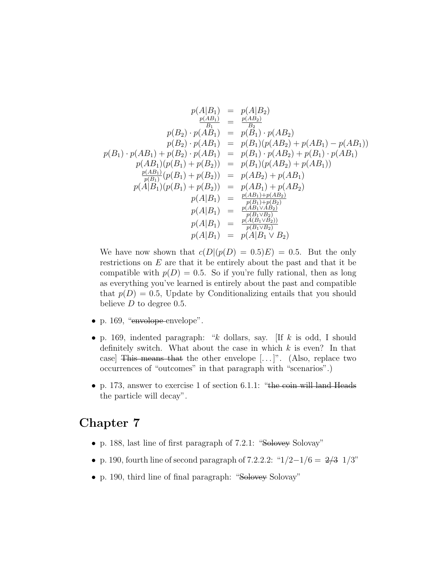$$
p(A|B_1) = p(A|B_2)
$$
  
\n
$$
\frac{p(A|B_1)}{B_1} = \frac{p(A|B_2)}{B_2}
$$
  
\n
$$
p(B_2) \cdot p(AB_1) = p(B_1) \cdot p(AB_2)
$$
  
\n
$$
p(B_2) \cdot p(AB_1) = p(B_1)(p(AB_2) + p(AB_1) - p(AB_1))
$$
  
\n
$$
p(B_1) \cdot p(AB_1) + p(B_2) \cdot p(AB_1) = p(B_1) \cdot p(AB_2) + p(B_1) \cdot p(AB_1)
$$
  
\n
$$
p(AB_1)(p(B_1) + p(B_2)) = p(B_1)(p(AB_2) + p(AB_1))
$$
  
\n
$$
\frac{p(AB_1)}{p(B_1)}(p(B_1) + p(B_2)) = p(AB_2) + p(AB_1)
$$
  
\n
$$
p(A|B_1)(p(B_1) + p(B_2)) = p(AB_1) + p(AB_2)
$$
  
\n
$$
p(A|B_1) = \frac{p(AB_1) + p(B_2)}{p(B_1) + p(B_2)}
$$
  
\n
$$
p(A|B_1) = \frac{p(A_1 \cup B_2)}{p(B_1 \cup B_2)}
$$
  
\n
$$
p(A|B_1) = \frac{p(A(B_1 \cup B_2))}{p(B_1 \cup B_2)}
$$
  
\n
$$
p(A|B_1) = p(A|B_1 \cup B_2)
$$

We have now shown that  $c(D|(p(D) = 0.5)E) = 0.5$ . But the only restrictions on  $E$  are that it be entirely about the past and that it be compatible with  $p(D) = 0.5$ . So if you're fully rational, then as long as everything you've learned is entirely about the past and compatible that  $p(D) = 0.5$ , Update by Conditionalizing entails that you should believe  $D$  to degree 0.5.

- p. 169, "envolope envelope".
- p. 169, indented paragraph: " $k$  dollars, say. [If  $k$  is odd, I should definitely switch. What about the case in which  $k$  is even? In that case] This means that the other envelope  $[\dots]^n$ . (Also, replace two occurrences of "outcomes" in that paragraph with "scenarios".)
- p. 173, answer to exercise 1 of section 6.1.1: "the coin will land Heads the particle will decay".

#### Chapter 7

- p. 188, last line of first paragraph of 7.2.1: "Solovey Solovay"
- p. 190, fourth line of second paragraph of 7.2.2.2: " $1/2-1/6 = 2/3$  1/3"
- p. 190, third line of final paragraph: "Solovey Solovay"